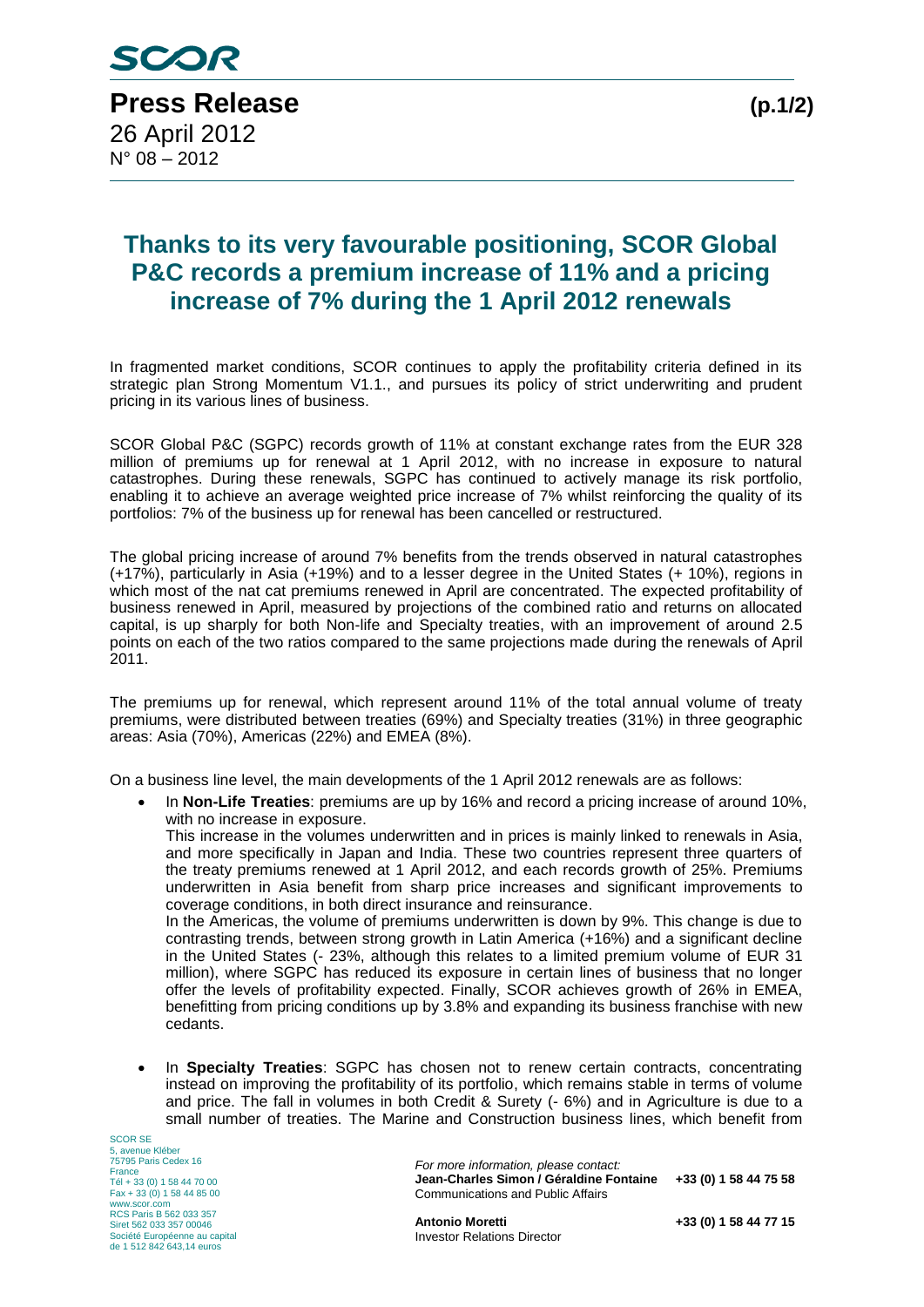## **Thanks to its very favourable positioning, SCOR Global P&C records a premium increase of 11% and a pricing increase of 7% during the 1 April 2012 renewals**

In fragmented market conditions, SCOR continues to apply the profitability criteria defined in its strategic plan Strong Momentum V1.1., and pursues its policy of strict underwriting and prudent pricing in its various lines of business.

SCOR Global P&C (SGPC) records growth of 11% at constant exchange rates from the EUR 328 million of premiums up for renewal at 1 April 2012, with no increase in exposure to natural catastrophes. During these renewals, SGPC has continued to actively manage its risk portfolio, enabling it to achieve an average weighted price increase of 7% whilst reinforcing the quality of its portfolios: 7% of the business up for renewal has been cancelled or restructured.

The global pricing increase of around 7% benefits from the trends observed in natural catastrophes (+17%), particularly in Asia (+19%) and to a lesser degree in the United States (+ 10%), regions in which most of the nat cat premiums renewed in April are concentrated. The expected profitability of business renewed in April, measured by projections of the combined ratio and returns on allocated capital, is up sharply for both Non-life and Specialty treaties, with an improvement of around 2.5 points on each of the two ratios compared to the same projections made during the renewals of April 2011.

The premiums up for renewal, which represent around 11% of the total annual volume of treaty premiums, were distributed between treaties (69%) and Specialty treaties (31%) in three geographic areas: Asia (70%), Americas (22%) and EMEA (8%).

On a business line level, the main developments of the 1 April 2012 renewals are as follows:

 In **Non-Life Treaties**: premiums are up by 16% and record a pricing increase of around 10%, with no increase in exposure.

This increase in the volumes underwritten and in prices is mainly linked to renewals in Asia, and more specifically in Japan and India. These two countries represent three quarters of the treaty premiums renewed at 1 April 2012, and each records growth of 25%. Premiums underwritten in Asia benefit from sharp price increases and significant improvements to coverage conditions, in both direct insurance and reinsurance.

In the Americas, the volume of premiums underwritten is down by 9%. This change is due to contrasting trends, between strong growth in Latin America (+16%) and a significant decline in the United States (- 23%, although this relates to a limited premium volume of EUR 31 million), where SGPC has reduced its exposure in certain lines of business that no longer offer the levels of profitability expected. Finally, SCOR achieves growth of 26% in EMEA, benefitting from pricing conditions up by 3.8% and expanding its business franchise with new cedants.

 In **Specialty Treaties**: SGPC has chosen not to renew certain contracts, concentrating instead on improving the profitability of its portfolio, which remains stable in terms of volume and price. The fall in volumes in both Credit & Surety (- 6%) and in Agriculture is due to a small number of treaties. The Marine and Construction business lines, which benefit from

SCOR SE 5, avenue Kléber 75795 Paris Cedex 16 France Tél + 33 (0) 1 58 44 70 00 Fax + 33 (0) 1 58 44 85 00 www.scor.com RCS Paris B 562 033 357 Siret 562 033 357 00046 Société Européenne au capital de 1 512 842 643,14 euros

*For more information, please contact:* **Jean-Charles Simon / Géraldine Fontaine +33 (0) 1 58 44 75 58** Communications and Public Affairs

**Antonio Moretti +33 (0) 1 58 44 77 15** Investor Relations Director